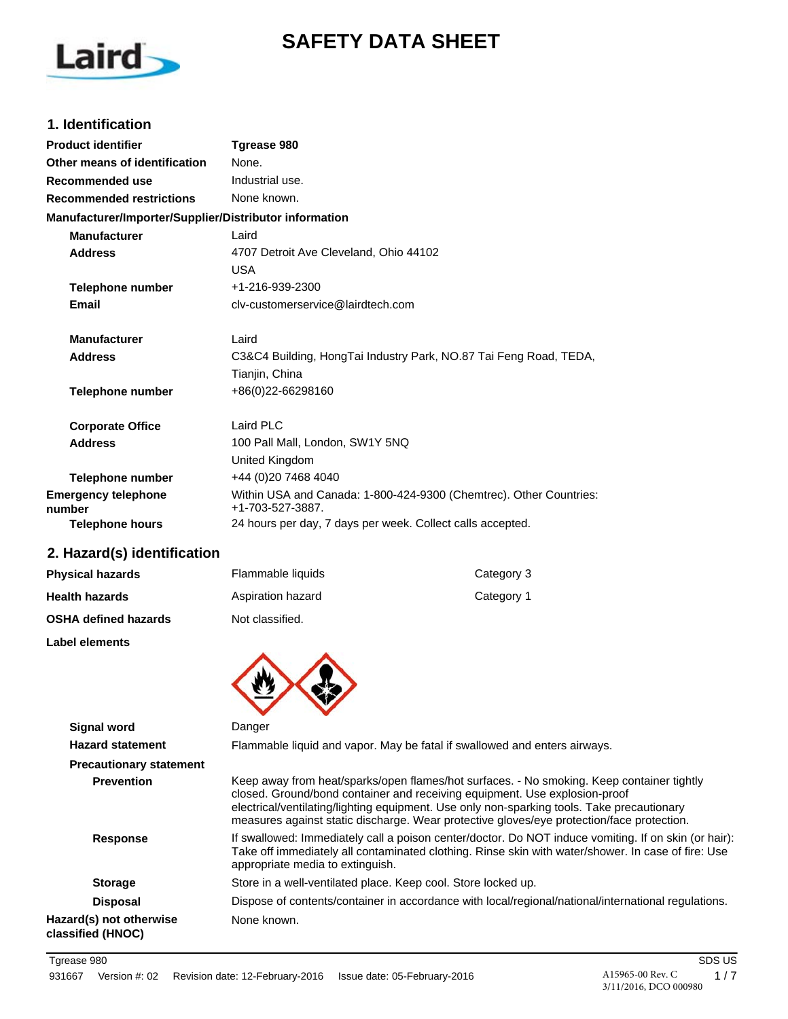# **SAFETY DATA SHEET**



### **1. Identification**

| <b>Product identifier</b>                              | Tgrease 980                                                                            |
|--------------------------------------------------------|----------------------------------------------------------------------------------------|
| Other means of identification                          | None.                                                                                  |
| Recommended use                                        | Industrial use.                                                                        |
| <b>Recommended restrictions</b>                        | None known.                                                                            |
| Manufacturer/Importer/Supplier/Distributor information |                                                                                        |
| <b>Manufacturer</b>                                    | Laird                                                                                  |
| <b>Address</b>                                         | 4707 Detroit Ave Cleveland, Ohio 44102                                                 |
|                                                        | <b>USA</b>                                                                             |
| <b>Telephone number</b>                                | +1-216-939-2300                                                                        |
| Email                                                  | cly-customerservice@lairdtech.com                                                      |
| <b>Manufacturer</b>                                    | Laird                                                                                  |
| <b>Address</b>                                         | C3&C4 Building, HongTai Industry Park, NO.87 Tai Feng Road, TEDA,                      |
|                                                        | Tianjin, China                                                                         |
| <b>Telephone number</b>                                | +86(0)22-66298160                                                                      |
| <b>Corporate Office</b>                                | Laird PLC                                                                              |
| <b>Address</b>                                         | 100 Pall Mall, London, SW1Y 5NQ                                                        |
|                                                        | United Kingdom                                                                         |
| <b>Telephone number</b>                                | +44 (0)20 7468 4040                                                                    |
| <b>Emergency telephone</b><br>number                   | Within USA and Canada: 1-800-424-9300 (Chemtrec). Other Countries:<br>+1-703-527-3887. |
| <b>Telephone hours</b>                                 | 24 hours per day, 7 days per week. Collect calls accepted.                             |

# **2. Hazard(s) identification**

| <b>Physical hazards</b>     | Flammable liquids | Category 3 |
|-----------------------------|-------------------|------------|
| <b>Health hazards</b>       | Aspiration hazard | Category 1 |
| <b>OSHA defined hazards</b> | Not classified.   |            |

**Label elements**



| Signal word                                  | Danger                                                                                                                                                                                                                                                                                                                                                             |
|----------------------------------------------|--------------------------------------------------------------------------------------------------------------------------------------------------------------------------------------------------------------------------------------------------------------------------------------------------------------------------------------------------------------------|
| <b>Hazard statement</b>                      | Flammable liquid and vapor. May be fatal if swallowed and enters airways.                                                                                                                                                                                                                                                                                          |
| <b>Precautionary statement</b>               |                                                                                                                                                                                                                                                                                                                                                                    |
| <b>Prevention</b>                            | Keep away from heat/sparks/open flames/hot surfaces. - No smoking. Keep container tightly<br>closed. Ground/bond container and receiving equipment. Use explosion-proof<br>electrical/ventilating/lighting equipment. Use only non-sparking tools. Take precautionary<br>measures against static discharge. Wear protective gloves/eye protection/face protection. |
| <b>Response</b>                              | If swallowed: Immediately call a poison center/doctor. Do NOT induce vomiting. If on skin (or hair):<br>Take off immediately all contaminated clothing. Rinse skin with water/shower. In case of fire: Use<br>appropriate media to extinguish.                                                                                                                     |
| <b>Storage</b>                               | Store in a well-ventilated place. Keep cool. Store locked up.                                                                                                                                                                                                                                                                                                      |
| <b>Disposal</b>                              | Dispose of contents/container in accordance with local/regional/national/international regulations.                                                                                                                                                                                                                                                                |
| Hazard(s) not otherwise<br>classified (HNOC) | None known.                                                                                                                                                                                                                                                                                                                                                        |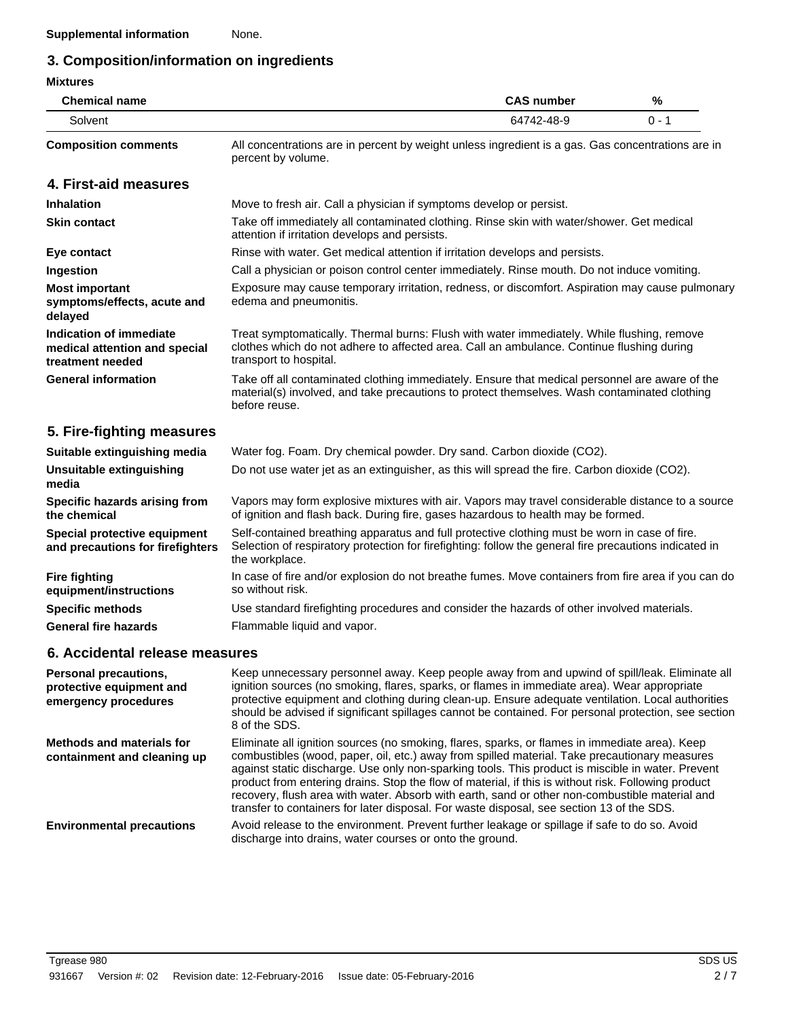# **3. Composition/information on ingredients**

#### **Mixtures**

| <b>Chemical name</b>        | <b>CAS number</b>                                                                                                       | %     |
|-----------------------------|-------------------------------------------------------------------------------------------------------------------------|-------|
| Solvent                     | 64742-48-9                                                                                                              | በ - 1 |
| <b>Composition comments</b> | All concentrations are in percent by weight unless ingredient is a gas. Gas concentrations are in<br>percent by volume. |       |

# **4. First-aid measures**

| <b>Inhalation</b>                                                            | Move to fresh air. Call a physician if symptoms develop or persist.                                                                                                                                               |
|------------------------------------------------------------------------------|-------------------------------------------------------------------------------------------------------------------------------------------------------------------------------------------------------------------|
| <b>Skin contact</b>                                                          | Take off immediately all contaminated clothing. Rinse skin with water/shower. Get medical<br>attention if irritation develops and persists.                                                                       |
| Eye contact                                                                  | Rinse with water. Get medical attention if irritation develops and persists.                                                                                                                                      |
| Ingestion                                                                    | Call a physician or poison control center immediately. Rinse mouth. Do not induce vomiting.                                                                                                                       |
| <b>Most important</b><br>symptoms/effects, acute and<br>delayed              | Exposure may cause temporary irritation, redness, or discomfort. Aspiration may cause pulmonary<br>edema and pneumonitis.                                                                                         |
| Indication of immediate<br>medical attention and special<br>treatment needed | Treat symptomatically. Thermal burns: Flush with water immediately. While flushing, remove<br>clothes which do not adhere to affected area. Call an ambulance. Continue flushing during<br>transport to hospital. |
| <b>General information</b>                                                   | Take off all contaminated clothing immediately. Ensure that medical personnel are aware of the<br>material(s) involved, and take precautions to protect themselves. Wash contaminated clothing<br>before reuse.   |

# **5. Fire-fighting measures**

| Suitable extinguishing media                                     | Water fog. Foam. Dry chemical powder. Dry sand. Carbon dioxide (CO2).                                                                                                                                                     |
|------------------------------------------------------------------|---------------------------------------------------------------------------------------------------------------------------------------------------------------------------------------------------------------------------|
| <b>Unsuitable extinguishing</b><br>media                         | Do not use water jet as an extinguisher, as this will spread the fire. Carbon dioxide (CO2).                                                                                                                              |
| Specific hazards arising from<br>the chemical                    | Vapors may form explosive mixtures with air. Vapors may travel considerable distance to a source<br>of ignition and flash back. During fire, gases hazardous to health may be formed.                                     |
| Special protective equipment<br>and precautions for firefighters | Self-contained breathing apparatus and full protective clothing must be worn in case of fire.<br>Selection of respiratory protection for firefighting: follow the general fire precautions indicated in<br>the workplace. |
| <b>Fire fighting</b><br>equipment/instructions                   | In case of fire and/or explosion do not breathe fumes. Move containers from fire area if you can do<br>so without risk.                                                                                                   |
| <b>Specific methods</b>                                          | Use standard firefighting procedures and consider the hazards of other involved materials.                                                                                                                                |
| <b>General fire hazards</b>                                      | Flammable liquid and vapor.                                                                                                                                                                                               |

# **6. Accidental release measures**

| <b>Personal precautions,</b><br>protective equipment and<br>emergency procedures | Keep unnecessary personnel away. Keep people away from and upwind of spill/leak. Eliminate all<br>ignition sources (no smoking, flares, sparks, or flames in immediate area). Wear appropriate<br>protective equipment and clothing during clean-up. Ensure adequate ventilation. Local authorities<br>should be advised if significant spillages cannot be contained. For personal protection, see section<br>8 of the SDS.                                                                                                                                                                               |
|----------------------------------------------------------------------------------|------------------------------------------------------------------------------------------------------------------------------------------------------------------------------------------------------------------------------------------------------------------------------------------------------------------------------------------------------------------------------------------------------------------------------------------------------------------------------------------------------------------------------------------------------------------------------------------------------------|
| <b>Methods and materials for</b><br>containment and cleaning up                  | Eliminate all ignition sources (no smoking, flares, sparks, or flames in immediate area). Keep<br>combustibles (wood, paper, oil, etc.) away from spilled material. Take precautionary measures<br>against static discharge. Use only non-sparking tools. This product is miscible in water. Prevent<br>product from entering drains. Stop the flow of material, if this is without risk. Following product<br>recovery, flush area with water. Absorb with earth, sand or other non-combustible material and<br>transfer to containers for later disposal. For waste disposal, see section 13 of the SDS. |
| <b>Environmental precautions</b>                                                 | Avoid release to the environment. Prevent further leakage or spillage if safe to do so. Avoid<br>discharge into drains, water courses or onto the ground.                                                                                                                                                                                                                                                                                                                                                                                                                                                  |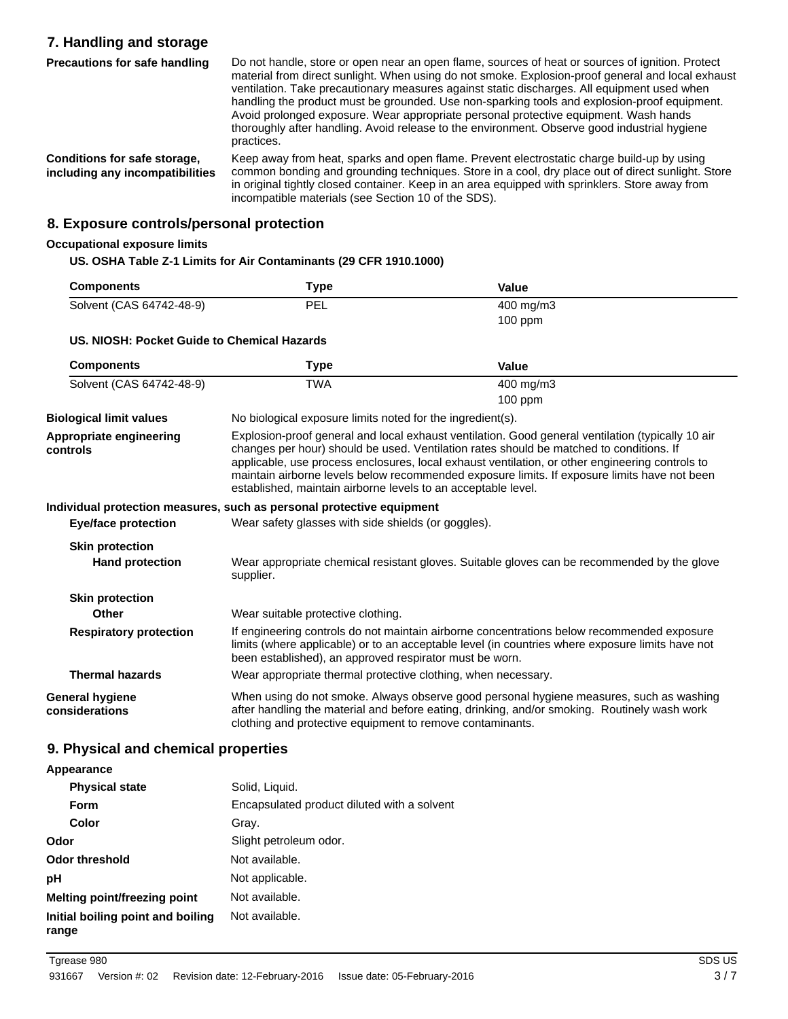# **7. Handling and storage**

Do not handle, store or open near an open flame, sources of heat or sources of ignition. Protect material from direct sunlight. When using do not smoke. Explosion-proof general and local exhaust ventilation. Take precautionary measures against static discharges. All equipment used when handling the product must be grounded. Use non-sparking tools and explosion-proof equipment. Avoid prolonged exposure. Wear appropriate personal protective equipment. Wash hands thoroughly after handling. Avoid release to the environment. Observe good industrial hygiene practices. **Precautions for safe handling** Keep away from heat, sparks and open flame. Prevent electrostatic charge build-up by using common bonding and grounding techniques. Store in a cool, dry place out of direct sunlight. Store in original tightly closed container. Keep in an area equipped with sprinklers. Store away from **Conditions for safe storage, including any incompatibilities**

incompatible materials (see Section 10 of the SDS).

**8. Exposure controls/personal protection**

#### **Occupational exposure limits**

#### **US. OSHA Table Z-1 Limits for Air Contaminants (29 CFR 1910.1000)**

| <b>Components</b>        | Type | Value                |  |
|--------------------------|------|----------------------|--|
| Solvent (CAS 64742-48-9) | PEL  | $400 \text{ mg/m}$ 3 |  |
|                          |      | $100$ ppm            |  |

#### **US. NIOSH: Pocket Guide to Chemical Hazards**

| <b>Components</b>                        | Type                                                                                                                                                                                                                                                                                                                                                                                                                                                             | Value                                                                                                                                                                                          |
|------------------------------------------|------------------------------------------------------------------------------------------------------------------------------------------------------------------------------------------------------------------------------------------------------------------------------------------------------------------------------------------------------------------------------------------------------------------------------------------------------------------|------------------------------------------------------------------------------------------------------------------------------------------------------------------------------------------------|
| Solvent (CAS 64742-48-9)                 | <b>TWA</b>                                                                                                                                                                                                                                                                                                                                                                                                                                                       | 400 mg/m3<br>$100$ ppm                                                                                                                                                                         |
|                                          |                                                                                                                                                                                                                                                                                                                                                                                                                                                                  |                                                                                                                                                                                                |
| <b>Biological limit values</b>           | No biological exposure limits noted for the ingredient(s).                                                                                                                                                                                                                                                                                                                                                                                                       |                                                                                                                                                                                                |
| Appropriate engineering<br>controls      | Explosion-proof general and local exhaust ventilation. Good general ventilation (typically 10 air<br>changes per hour) should be used. Ventilation rates should be matched to conditions. If<br>applicable, use process enclosures, local exhaust ventilation, or other engineering controls to<br>maintain airborne levels below recommended exposure limits. If exposure limits have not been<br>established, maintain airborne levels to an acceptable level. |                                                                                                                                                                                                |
|                                          | Individual protection measures, such as personal protective equipment                                                                                                                                                                                                                                                                                                                                                                                            |                                                                                                                                                                                                |
| <b>Eye/face protection</b>               | Wear safety glasses with side shields (or goggles).                                                                                                                                                                                                                                                                                                                                                                                                              |                                                                                                                                                                                                |
| <b>Skin protection</b>                   |                                                                                                                                                                                                                                                                                                                                                                                                                                                                  |                                                                                                                                                                                                |
| <b>Hand protection</b>                   | supplier.                                                                                                                                                                                                                                                                                                                                                                                                                                                        | Wear appropriate chemical resistant gloves. Suitable gloves can be recommended by the glove                                                                                                    |
| <b>Skin protection</b>                   |                                                                                                                                                                                                                                                                                                                                                                                                                                                                  |                                                                                                                                                                                                |
| Other                                    | Wear suitable protective clothing.                                                                                                                                                                                                                                                                                                                                                                                                                               |                                                                                                                                                                                                |
| <b>Respiratory protection</b>            | been established), an approved respirator must be worn.                                                                                                                                                                                                                                                                                                                                                                                                          | If engineering controls do not maintain airborne concentrations below recommended exposure<br>limits (where applicable) or to an acceptable level (in countries where exposure limits have not |
| <b>Thermal hazards</b>                   | Wear appropriate thermal protective clothing, when necessary.                                                                                                                                                                                                                                                                                                                                                                                                    |                                                                                                                                                                                                |
| <b>General hygiene</b><br>considerations | clothing and protective equipment to remove contaminants.                                                                                                                                                                                                                                                                                                                                                                                                        | When using do not smoke. Always observe good personal hygiene measures, such as washing<br>after handling the material and before eating, drinking, and/or smoking. Routinely wash work        |

### **9. Physical and chemical properties**

#### **Appearance Physical state** Solid, Liquid. **Form** Encapsulated product diluted with a solvent **Color** Gray. **Odor** Slight petroleum odor. **Odor threshold** Not available. **pH** Not applicable. **Melting point/freezing point** Not available. **Initial boiling point and boiling range** Not available.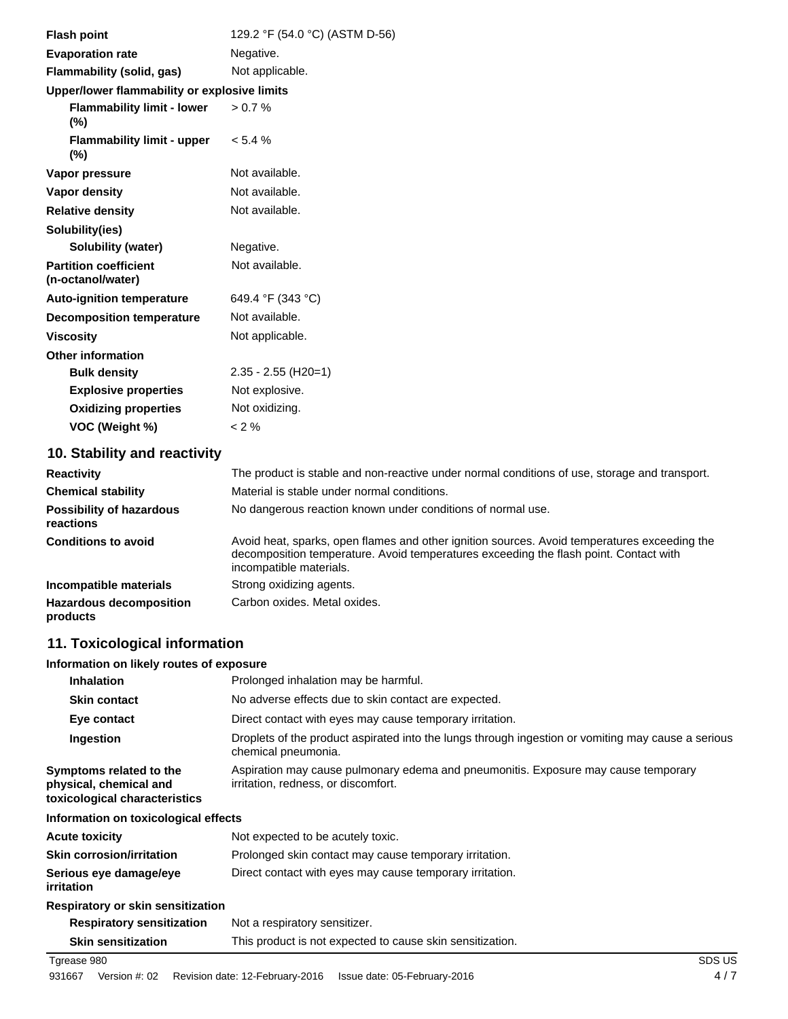| <b>Flash point</b>                                | 129.2 °F (54.0 °C) (ASTM D-56) |
|---------------------------------------------------|--------------------------------|
| <b>Evaporation rate</b>                           | Negative.                      |
| Flammability (solid, gas)                         | Not applicable.                |
| Upper/lower flammability or explosive limits      |                                |
| <b>Flammability limit - lower</b><br>$(\%)$       | $> 0.7 \%$                     |
| <b>Flammability limit - upper</b><br>$(\% )$      | $< 5.4 \%$                     |
| Vapor pressure                                    | Not available.                 |
| Vapor density                                     | Not available.                 |
| <b>Relative density</b>                           | Not available.                 |
| Solubility(ies)                                   |                                |
| <b>Solubility (water)</b>                         | Negative.                      |
| <b>Partition coefficient</b><br>(n-octanol/water) | Not available.                 |
| <b>Auto-ignition temperature</b>                  | 649.4 °F (343 °C)              |
| <b>Decomposition temperature</b>                  | Not available.                 |
| <b>Viscosity</b>                                  | Not applicable.                |
| <b>Other information</b>                          |                                |
| <b>Bulk density</b>                               | $2.35 - 2.55$ (H20=1)          |
| <b>Explosive properties</b>                       | Not explosive.                 |
| <b>Oxidizing properties</b>                       | Not oxidizing.                 |
| VOC (Weight %)                                    | $< 2 \%$                       |

# **10. Stability and reactivity**

| <b>Reactivity</b>                            | The product is stable and non-reactive under normal conditions of use, storage and transport.                                                                                                                    |
|----------------------------------------------|------------------------------------------------------------------------------------------------------------------------------------------------------------------------------------------------------------------|
| <b>Chemical stability</b>                    | Material is stable under normal conditions.                                                                                                                                                                      |
| <b>Possibility of hazardous</b><br>reactions | No dangerous reaction known under conditions of normal use.                                                                                                                                                      |
| <b>Conditions to avoid</b>                   | Avoid heat, sparks, open flames and other ignition sources. Avoid temperatures exceeding the<br>decomposition temperature. Avoid temperatures exceeding the flash point. Contact with<br>incompatible materials. |
| Incompatible materials                       | Strong oxidizing agents.                                                                                                                                                                                         |
| <b>Hazardous decomposition</b><br>products   | Carbon oxides. Metal oxides.                                                                                                                                                                                     |

# **11. Toxicological information**

#### **Information on likely routes of exposure**

| <b>Inhalation</b>                                                                  | Prolonged inhalation may be harmful.                                                                                      |
|------------------------------------------------------------------------------------|---------------------------------------------------------------------------------------------------------------------------|
| <b>Skin contact</b>                                                                | No adverse effects due to skin contact are expected.                                                                      |
| Eye contact                                                                        | Direct contact with eyes may cause temporary irritation.                                                                  |
| Ingestion                                                                          | Droplets of the product aspirated into the lungs through ingestion or vomiting may cause a serious<br>chemical pneumonia. |
| Symptoms related to the<br>physical, chemical and<br>toxicological characteristics | Aspiration may cause pulmonary edema and pneumonitis. Exposure may cause temporary<br>irritation, redness, or discomfort. |
| Information on toxicological effects                                               |                                                                                                                           |
| Acute toxicity                                                                     | Not expected to be acutely toxic.                                                                                         |
| Skin corrosion/irritation                                                          | Prolonged skin contact may cause temporary irritation.                                                                    |
| Serious eye damage/eye<br>irritation                                               | Direct contact with eyes may cause temporary irritation.                                                                  |
| Respiratory or skin sensitization                                                  |                                                                                                                           |
| <b>Respiratory sensitization</b>                                                   | Not a respiratory sensitizer.                                                                                             |
| <b>Skin sensitization</b>                                                          | This product is not expected to cause skin sensitization.                                                                 |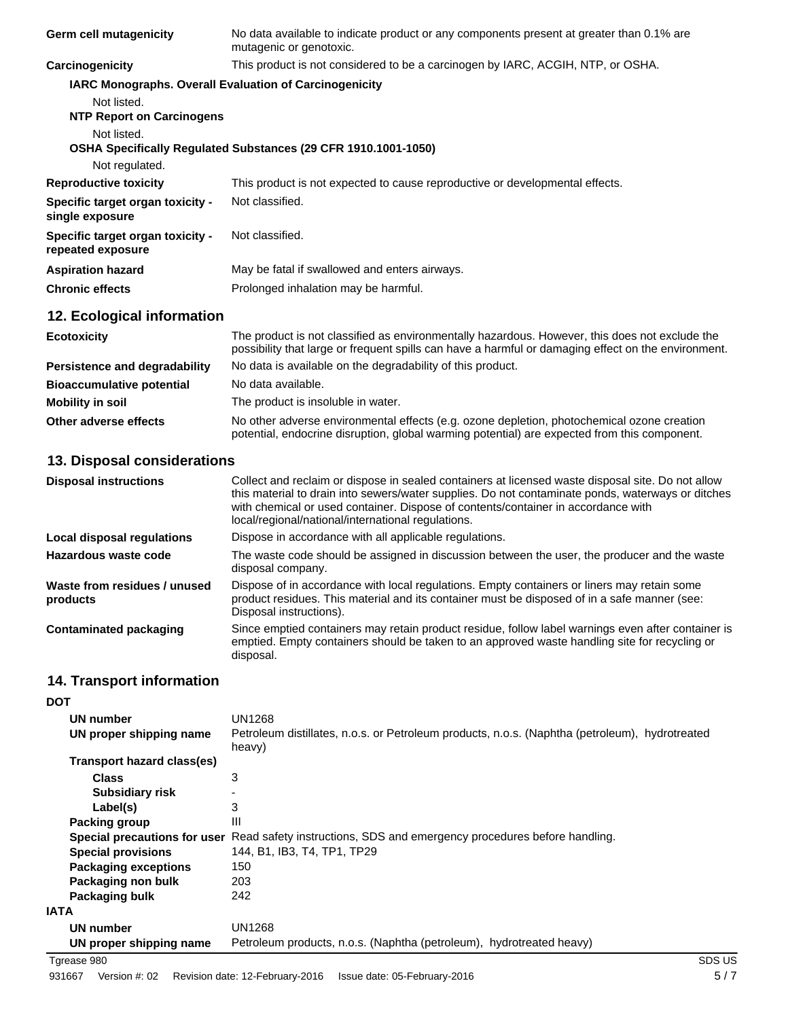| Germ cell mutagenicity                                | No data available to indicate product or any components present at greater than 0.1% are<br>mutagenic or genotoxic.                                                                                   |
|-------------------------------------------------------|-------------------------------------------------------------------------------------------------------------------------------------------------------------------------------------------------------|
| Carcinogenicity                                       | This product is not considered to be a carcinogen by IARC, ACGIH, NTP, or OSHA.                                                                                                                       |
|                                                       | <b>IARC Monographs. Overall Evaluation of Carcinogenicity</b>                                                                                                                                         |
| Not listed.                                           |                                                                                                                                                                                                       |
| <b>NTP Report on Carcinogens</b>                      |                                                                                                                                                                                                       |
| Not listed.                                           |                                                                                                                                                                                                       |
|                                                       | <b>OSHA Specifically Regulated Substances (29 CFR 1910.1001-1050)</b>                                                                                                                                 |
| Not regulated.                                        |                                                                                                                                                                                                       |
| <b>Reproductive toxicity</b>                          | This product is not expected to cause reproductive or developmental effects.                                                                                                                          |
| Specific target organ toxicity -<br>single exposure   | Not classified.                                                                                                                                                                                       |
| Specific target organ toxicity -<br>repeated exposure | Not classified.                                                                                                                                                                                       |
| <b>Aspiration hazard</b>                              | May be fatal if swallowed and enters airways.                                                                                                                                                         |
| <b>Chronic effects</b>                                | Prolonged inhalation may be harmful.                                                                                                                                                                  |
| 12. Ecological information                            |                                                                                                                                                                                                       |
| <b>Ecotoxicity</b>                                    | The product is not classified as environmentally hazardous. However, this does not exclude the<br>possibility that large or frequent spills can have a harmful or damaging effect on the environment. |
|                                                       |                                                                                                                                                                                                       |

| Persistence and degradability    | No data is available on the degradability of this product.                                                                                                                                 |  |
|----------------------------------|--------------------------------------------------------------------------------------------------------------------------------------------------------------------------------------------|--|
| <b>Bioaccumulative potential</b> | No data available.                                                                                                                                                                         |  |
| <b>Mobility in soil</b>          | The product is insoluble in water.                                                                                                                                                         |  |
| Other adverse effects            | No other adverse environmental effects (e.g. ozone depletion, photochemical ozone creation<br>potential, endocrine disruption, global warming potential) are expected from this component. |  |

## **13. Disposal considerations**

| <b>Disposal instructions</b>             | Collect and reclaim or dispose in sealed containers at licensed waste disposal site. Do not allow<br>this material to drain into sewers/water supplies. Do not contaminate ponds, waterways or ditches<br>with chemical or used container. Dispose of contents/container in accordance with<br>local/regional/national/international regulations. |
|------------------------------------------|---------------------------------------------------------------------------------------------------------------------------------------------------------------------------------------------------------------------------------------------------------------------------------------------------------------------------------------------------|
| Local disposal regulations               | Dispose in accordance with all applicable regulations.                                                                                                                                                                                                                                                                                            |
| Hazardous waste code                     | The waste code should be assigned in discussion between the user, the producer and the waste<br>disposal company.                                                                                                                                                                                                                                 |
| Waste from residues / unused<br>products | Dispose of in accordance with local regulations. Empty containers or liners may retain some<br>product residues. This material and its container must be disposed of in a safe manner (see:<br>Disposal instructions).                                                                                                                            |
| <b>Contaminated packaging</b>            | Since emptied containers may retain product residue, follow label warnings even after container is<br>emptied. Empty containers should be taken to an approved waste handling site for recycling or<br>disposal.                                                                                                                                  |

# **14. Transport information**

| <b>DOT</b>                   |                                                                                                          |
|------------------------------|----------------------------------------------------------------------------------------------------------|
| UN number                    | UN1268                                                                                                   |
| UN proper shipping name      | Petroleum distillates, n.o.s. or Petroleum products, n.o.s. (Naphtha (petroleum), hydrotreated<br>heavy) |
| Transport hazard class(es)   |                                                                                                          |
| <b>Class</b>                 | 3                                                                                                        |
| <b>Subsidiary risk</b>       |                                                                                                          |
| Label(s)                     | 3                                                                                                        |
| Packing group                | Ш                                                                                                        |
| Special precautions for user | Read safety instructions, SDS and emergency procedures before handling.                                  |
| <b>Special provisions</b>    | 144, B1, IB3, T4, TP1, TP29                                                                              |
| <b>Packaging exceptions</b>  | 150                                                                                                      |
| Packaging non bulk           | 203                                                                                                      |
| Packaging bulk               | 242                                                                                                      |
| <b>IATA</b>                  |                                                                                                          |
| UN number                    | UN1268                                                                                                   |
| UN proper shipping name      | Petroleum products, n.o.s. (Naphtha (petroleum), hydrotreated heavy)                                     |

Tgrease 980 SDS US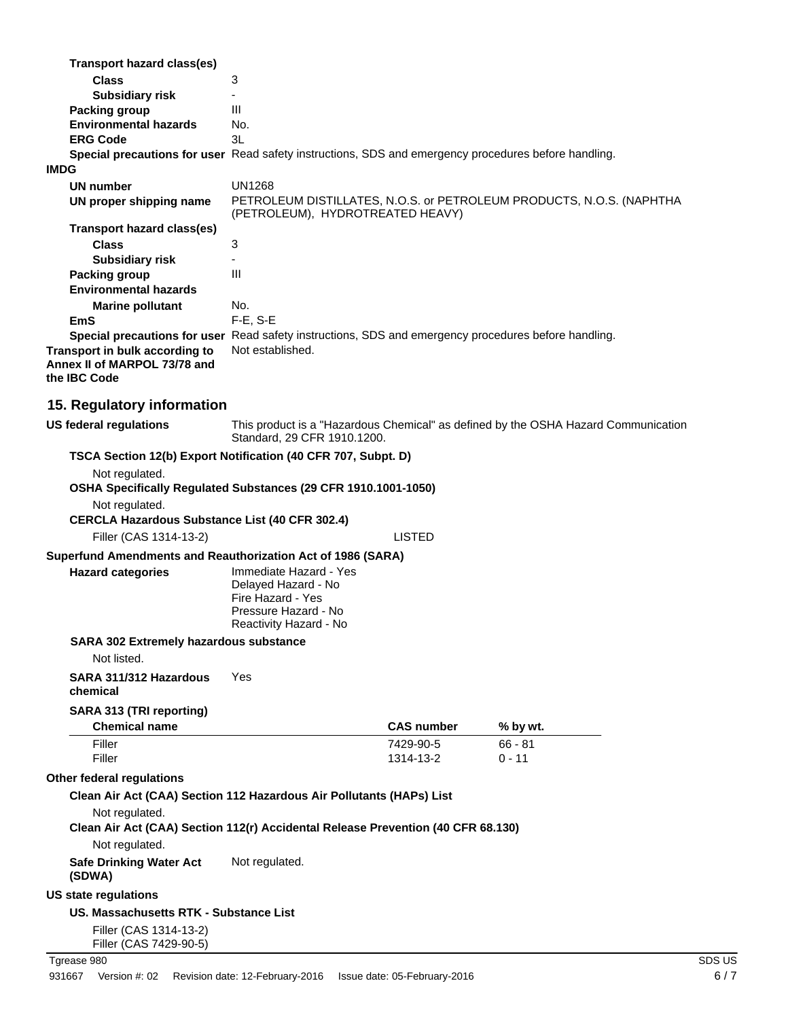|      | <b>Transport hazard class(es)</b>                                                                                                                                                                                            |                                                                                                                      |                        |                       |  |
|------|------------------------------------------------------------------------------------------------------------------------------------------------------------------------------------------------------------------------------|----------------------------------------------------------------------------------------------------------------------|------------------------|-----------------------|--|
|      | <b>Class</b>                                                                                                                                                                                                                 | 3                                                                                                                    |                        |                       |  |
|      | <b>Subsidiary risk</b>                                                                                                                                                                                                       | $\blacksquare$                                                                                                       |                        |                       |  |
|      | <b>Packing group</b>                                                                                                                                                                                                         | Ш                                                                                                                    |                        |                       |  |
|      | <b>Environmental hazards</b><br><b>ERG Code</b>                                                                                                                                                                              | No.<br>3L                                                                                                            |                        |                       |  |
|      | Special precautions for user Read safety instructions, SDS and emergency procedures before handling.                                                                                                                         |                                                                                                                      |                        |                       |  |
| IMDG |                                                                                                                                                                                                                              |                                                                                                                      |                        |                       |  |
|      | <b>UN number</b>                                                                                                                                                                                                             | <b>UN1268</b>                                                                                                        |                        |                       |  |
|      | UN proper shipping name                                                                                                                                                                                                      | PETROLEUM DISTILLATES, N.O.S. or PETROLEUM PRODUCTS, N.O.S. (NAPHTHA                                                 |                        |                       |  |
|      |                                                                                                                                                                                                                              | (PETROLEUM), HYDROTREATED HEAVY)                                                                                     |                        |                       |  |
|      | <b>Transport hazard class(es)</b>                                                                                                                                                                                            |                                                                                                                      |                        |                       |  |
|      | <b>Class</b>                                                                                                                                                                                                                 | 3                                                                                                                    |                        |                       |  |
|      | <b>Subsidiary risk</b>                                                                                                                                                                                                       |                                                                                                                      |                        |                       |  |
|      | <b>Packing group</b>                                                                                                                                                                                                         | $\mathsf{III}$                                                                                                       |                        |                       |  |
|      | <b>Environmental hazards</b>                                                                                                                                                                                                 |                                                                                                                      |                        |                       |  |
|      | <b>Marine pollutant</b>                                                                                                                                                                                                      | No.                                                                                                                  |                        |                       |  |
|      | <b>EmS</b>                                                                                                                                                                                                                   | F-E, S-E                                                                                                             |                        |                       |  |
|      | Special precautions for user Read safety instructions, SDS and emergency procedures before handling.                                                                                                                         | Not established.                                                                                                     |                        |                       |  |
|      | Transport in bulk according to<br>Annex II of MARPOL 73/78 and<br>the IBC Code                                                                                                                                               |                                                                                                                      |                        |                       |  |
|      | 15. Regulatory information                                                                                                                                                                                                   |                                                                                                                      |                        |                       |  |
|      | <b>US federal regulations</b>                                                                                                                                                                                                | This product is a "Hazardous Chemical" as defined by the OSHA Hazard Communication<br>Standard, 29 CFR 1910.1200.    |                        |                       |  |
|      | TSCA Section 12(b) Export Notification (40 CFR 707, Subpt. D)<br>Not regulated.<br>OSHA Specifically Regulated Substances (29 CFR 1910.1001-1050)<br>Not regulated.<br><b>CERCLA Hazardous Substance List (40 CFR 302.4)</b> |                                                                                                                      | <b>LISTED</b>          |                       |  |
|      | Filler (CAS 1314-13-2)                                                                                                                                                                                                       |                                                                                                                      |                        |                       |  |
|      | Superfund Amendments and Reauthorization Act of 1986 (SARA)                                                                                                                                                                  |                                                                                                                      |                        |                       |  |
|      | <b>Hazard categories</b>                                                                                                                                                                                                     | Immediate Hazard - Yes<br>Delayed Hazard - No<br>Fire Hazard - Yes<br>Pressure Hazard - No<br>Reactivity Hazard - No |                        |                       |  |
|      | SARA 302 Extremely hazardous substance<br>Not listed.                                                                                                                                                                        |                                                                                                                      |                        |                       |  |
|      | SARA 311/312 Hazardous<br>chemical                                                                                                                                                                                           | Yes                                                                                                                  |                        |                       |  |
|      | SARA 313 (TRI reporting)<br><b>Chemical name</b>                                                                                                                                                                             |                                                                                                                      | <b>CAS number</b>      | % by wt.              |  |
|      | Filler<br>Filler                                                                                                                                                                                                             |                                                                                                                      | 7429-90-5<br>1314-13-2 | $66 - 81$<br>$0 - 11$ |  |
|      | Other federal regulations                                                                                                                                                                                                    |                                                                                                                      |                        |                       |  |
|      | Clean Air Act (CAA) Section 112 Hazardous Air Pollutants (HAPs) List<br>Not regulated.                                                                                                                                       |                                                                                                                      |                        |                       |  |
|      | Clean Air Act (CAA) Section 112(r) Accidental Release Prevention (40 CFR 68.130)<br>Not regulated.                                                                                                                           |                                                                                                                      |                        |                       |  |
|      | <b>Safe Drinking Water Act</b><br>(SDWA)                                                                                                                                                                                     | Not regulated.                                                                                                       |                        |                       |  |
|      | US state regulations                                                                                                                                                                                                         |                                                                                                                      |                        |                       |  |
|      | US. Massachusetts RTK - Substance List                                                                                                                                                                                       |                                                                                                                      |                        |                       |  |
|      | Filler (CAS 1314-13-2)<br>Filler (CAS 7429-90-5)                                                                                                                                                                             |                                                                                                                      |                        |                       |  |
|      |                                                                                                                                                                                                                              |                                                                                                                      |                        |                       |  |